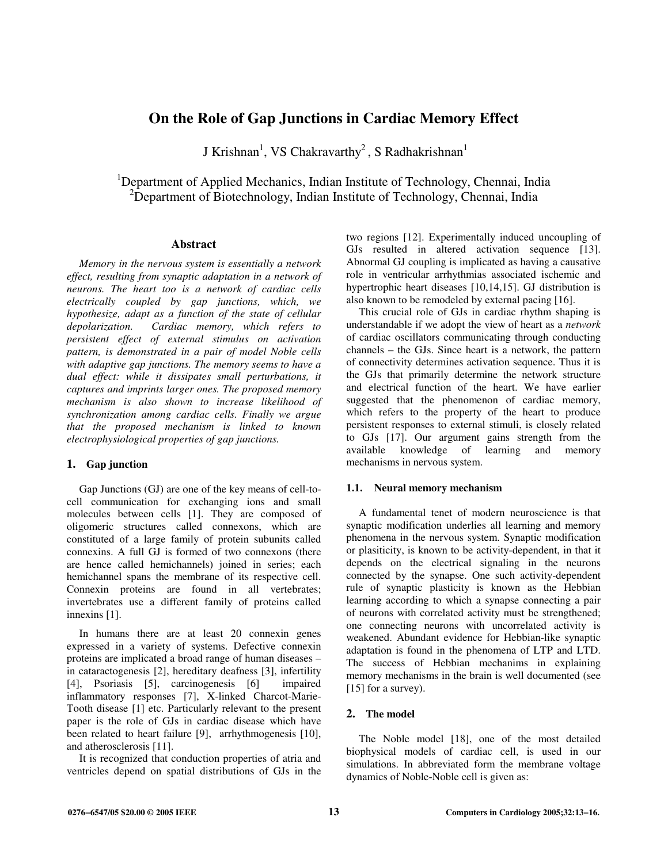# **On the Role of Gap Junctions in Cardiac Memory Effect**

J Krishnan<sup>1</sup>, VS Chakravarthy<sup>2</sup>, S Radhakrishnan<sup>1</sup>

<sup>1</sup>Department of Applied Mechanics, Indian Institute of Technology, Chennai, India <sup>2</sup>Department of Biotechnology, Indian Institute of Technology, Chennai, India

## **Abstract**

*Memory in the nervous system is essentially a network effect, resulting from synaptic adaptation in a network of neurons. The heart too is a network of cardiac cells electrically coupled by gap junctions, which, we hypothesize, adapt as a function of the state of cellular depolarization. Cardiac memory, which refers to persistent effect of external stimulus on activation pattern, is demonstrated in a pair of model Noble cells with adaptive gap junctions. The memory seems to have a dual effect: while it dissipates small perturbations, it captures and imprints larger ones. The proposed memory mechanism is also shown to increase likelihood of synchronization among cardiac cells. Finally we argue that the proposed mechanism is linked to known electrophysiological properties of gap junctions.* 

# **1. Gap junction**

Gap Junctions (GJ) are one of the key means of cell-tocell communication for exchanging ions and small molecules between cells [1]. They are composed of oligomeric structures called connexons, which are constituted of a large family of protein subunits called connexins. A full GJ is formed of two connexons (there are hence called hemichannels) joined in series; each hemichannel spans the membrane of its respective cell. Connexin proteins are found in all vertebrates; invertebrates use a different family of proteins called innexins [1].

In humans there are at least 20 connexin genes expressed in a variety of systems. Defective connexin proteins are implicated a broad range of human diseases – in cataractogenesis [2], hereditary deafness [3], infertility [4], Psoriasis [5], carcinogenesis [6] impaired inflammatory responses [7], X-linked Charcot-Marie-Tooth disease [1] etc. Particularly relevant to the present paper is the role of GJs in cardiac disease which have been related to heart failure [9], arrhythmogenesis [10], and atherosclerosis [11].

It is recognized that conduction properties of atria and ventricles depend on spatial distributions of GJs in the two regions [12]. Experimentally induced uncoupling of GJs resulted in altered activation sequence [13]. Abnormal GJ coupling is implicated as having a causative role in ventricular arrhythmias associated ischemic and hypertrophic heart diseases [10,14,15]. GJ distribution is also known to be remodeled by external pacing [16].

This crucial role of GJs in cardiac rhythm shaping is understandable if we adopt the view of heart as a *network* of cardiac oscillators communicating through conducting channels – the GJs. Since heart is a network, the pattern of connectivity determines activation sequence. Thus it is the GJs that primarily determine the network structure and electrical function of the heart. We have earlier suggested that the phenomenon of cardiac memory, which refers to the property of the heart to produce persistent responses to external stimuli, is closely related to GJs [17]. Our argument gains strength from the available knowledge of learning and memory mechanisms in nervous system.

### **1.1. Neural memory mechanism**

A fundamental tenet of modern neuroscience is that synaptic modification underlies all learning and memory phenomena in the nervous system. Synaptic modification or plasiticity, is known to be activity-dependent, in that it depends on the electrical signaling in the neurons connected by the synapse. One such activity-dependent rule of synaptic plasticity is known as the Hebbian learning according to which a synapse connecting a pair of neurons with correlated activity must be strengthened; one connecting neurons with uncorrelated activity is weakened. Abundant evidence for Hebbian-like synaptic adaptation is found in the phenomena of LTP and LTD. The success of Hebbian mechanims in explaining memory mechanisms in the brain is well documented (see [15] for a survey).

# **2. The model**

The Noble model [18], one of the most detailed biophysical models of cardiac cell, is used in our simulations. In abbreviated form the membrane voltage dynamics of Noble-Noble cell is given as: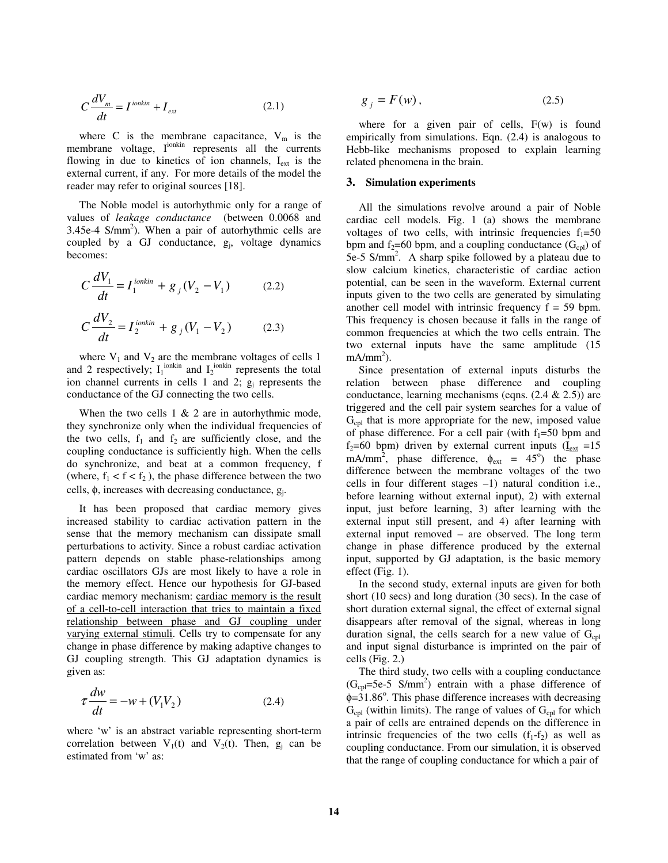$$
C\frac{dV_m}{dt} = I^{i\text{onkin}} + I_{\text{ext}}\tag{2.1}
$$

where C is the membrane capacitance,  $V_m$  is the membrane voltage, Iionkin represents all the currents flowing in due to kinetics of ion channels,  $I_{ext}$  is the external current, if any. For more details of the model the reader may refer to original sources [18].

The Noble model is autorhythmic only for a range of values of *leakage conductance* (between 0.0068 and 3.45e-4  $S/mm<sup>2</sup>$ ). When a pair of autorhythmic cells are coupled by a  $GJ$  conductance,  $g_j$ , voltage dynamics becomes:

$$
C\frac{dV_1}{dt} = I_1^{ionkin} + g_j(V_2 - V_1)
$$
 (2.2)  

$$
C\frac{dV_2}{dt} = I_2^{ionkin} + g_j(V_1 - V_2)
$$
 (2.3)

where  $V_1$  and  $V_2$  are the membrane voltages of cells 1 and 2 respectively;  $I_1$ <sup>ionkin</sup> and  $I_2$ <sup>ionkin</sup> represents the total ion channel currents in cells 1 and 2;  $g_j$  represents the conductance of the GJ connecting the two cells.

When the two cells  $1 \& 2$  are in autorhythmic mode, they synchronize only when the individual frequencies of the two cells,  $f_1$  and  $f_2$  are sufficiently close, and the coupling conductance is sufficiently high. When the cells do synchronize, and beat at a common frequency, f (where,  $f_1 < f < f_2$ ), the phase difference between the two cells,  $\phi$ , increases with decreasing conductance,  $g_j$ .

It has been proposed that cardiac memory gives increased stability to cardiac activation pattern in the sense that the memory mechanism can dissipate small perturbations to activity. Since a robust cardiac activation pattern depends on stable phase-relationships among cardiac oscillators GJs are most likely to have a role in the memory effect. Hence our hypothesis for GJ-based cardiac memory mechanism: cardiac memory is the result of a cell-to-cell interaction that tries to maintain a fixed relationship between phase and GJ coupling under varying external stimuli. Cells try to compensate for any change in phase difference by making adaptive changes to GJ coupling strength. This GJ adaptation dynamics is given as:

$$
\tau \frac{dw}{dt} = -w + (V_1 V_2) \tag{2.4}
$$

where 'w' is an abstract variable representing short-term correlation between  $V_1(t)$  and  $V_2(t)$ . Then,  $g_j$  can be estimated from 'w' as:

$$
g_j = F(w), \tag{2.5}
$$

where for a given pair of cells, F(w) is found empirically from simulations. Eqn. (2.4) is analogous to Hebb-like mechanisms proposed to explain learning related phenomena in the brain.

#### **3. Simulation experiments**

All the simulations revolve around a pair of Noble cardiac cell models. Fig. 1 (a) shows the membrane voltages of two cells, with intrinsic frequencies  $f_1=50$ bpm and  $f_2$ =60 bpm, and a coupling conductance (G<sub>cpl</sub>) of 5e-5 S/mm<sup>2</sup>. A sharp spike followed by a plateau due to slow calcium kinetics, characteristic of cardiac action potential, can be seen in the waveform. External current inputs given to the two cells are generated by simulating another cell model with intrinsic frequency  $f = 59$  bpm. This frequency is chosen because it falls in the range of common frequencies at which the two cells entrain. The two external inputs have the same amplitude (15  $mA/mm<sup>2</sup>$ ).

Since presentation of external inputs disturbs the relation between phase difference and coupling conductance, learning mechanisms (eqns.  $(2.4 \& 2.5)$ ) are triggered and the cell pair system searches for a value of  $G<sub>cpl</sub>$  that is more appropriate for the new, imposed value of phase difference. For a cell pair (with  $f_1=50$  bpm and  $f_2$ =60 bpm) driven by external current inputs ( $I_{ext}$  =15 mA/mm<sup>2</sup>, phase difference,  $\phi_{ext} = 45^{\circ}$ ) the phase difference between the membrane voltages of the two cells in four different stages –1) natural condition i.e., before learning without external input), 2) with external input, just before learning, 3) after learning with the external input still present, and 4) after learning with external input removed – are observed. The long term change in phase difference produced by the external input, supported by GJ adaptation, is the basic memory effect (Fig. 1).

In the second study, external inputs are given for both short (10 secs) and long duration (30 secs). In the case of short duration external signal, the effect of external signal disappears after removal of the signal, whereas in long duration signal, the cells search for a new value of  $G_{cpl}$ and input signal disturbance is imprinted on the pair of cells (Fig. 2.)

The third study, two cells with a coupling conductance  $(G_{\text{cpl}} = 5e-5 \text{ S/mm}^2)$  entrain with a phase difference of  $\phi$ =31.86°. This phase difference increases with decreasing  $G_{\text{cpl}}$  (within limits). The range of values of  $G_{\text{cpl}}$  for which a pair of cells are entrained depends on the difference in intrinsic frequencies of the two cells  $(f_1-f_2)$  as well as coupling conductance. From our simulation, it is observed that the range of coupling conductance for which a pair of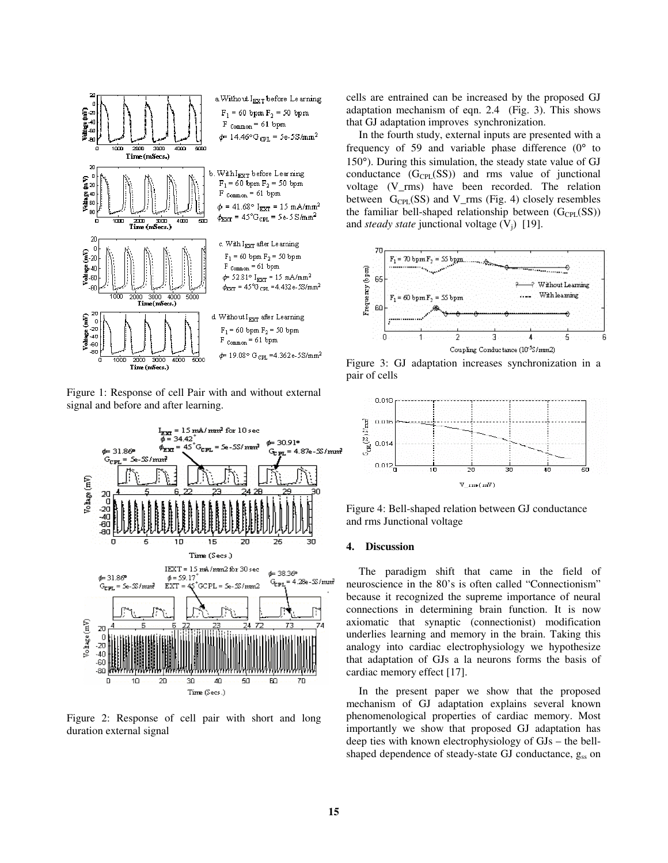

Figure 1: Response of cell Pair with and without external signal and before and after learning.



Figure 2: Response of cell pair with short and long duration external signal

cells are entrained can be increased by the proposed GJ adaptation mechanism of eqn. 2.4 (Fig. 3). This shows that GJ adaptation improves synchronization.

In the fourth study, external inputs are presented with a frequency of 59 and variable phase difference  $(0^{\circ}$  to 150°). During this simulation, the steady state value of GJ conductance  $(G_{\text{CPL}}(SS))$  and rms value of junctional voltage (V\_rms) have been recorded. The relation between  $G_{\text{CPL}}(SS)$  and V\_rms (Fig. 4) closely resembles the familiar bell-shaped relationship between  $(G_{\text{CPI}}(SS))$ and *steady state* junctional voltage  $(V_i)$  [19].



Figure 3: GJ adaptation increases synchronization in a pair of cells



Figure 4: Bell-shaped relation between GJ conductance and rms Junctional voltage

### **4. Discussion**

The paradigm shift that came in the field of neuroscience in the 80's is often called "Connectionism" because it recognized the supreme importance of neural connections in determining brain function. It is now axiomatic that synaptic (connectionist) modification underlies learning and memory in the brain. Taking this analogy into cardiac electrophysiology we hypothesize that adaptation of GJs a la neurons forms the basis of cardiac memory effect [17].

In the present paper we show that the proposed mechanism of GJ adaptation explains several known phenomenological properties of cardiac memory. Most importantly we show that proposed GJ adaptation has deep ties with known electrophysiology of GJs – the bellshaped dependence of steady-state GJ conductance, gss on